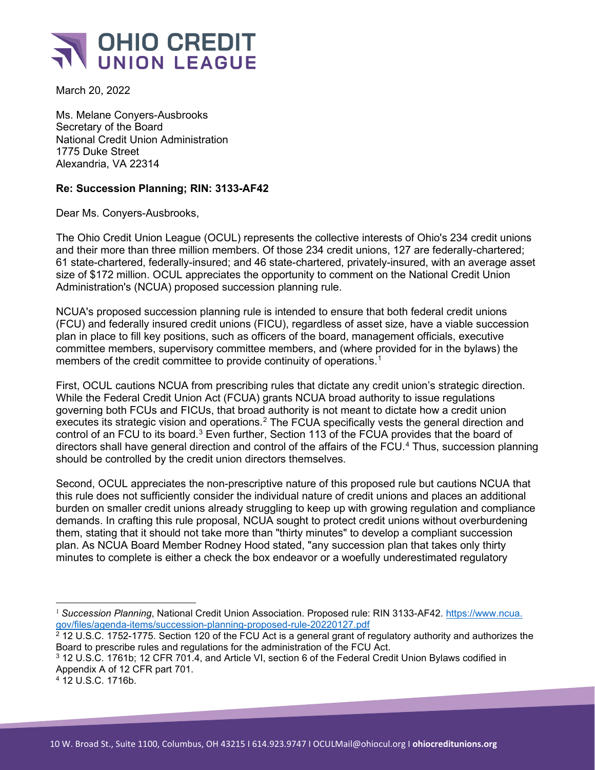

March 20, 2022

Ms. Melane Conyers-Ausbrooks Secretary of the Board National Credit Union Administration 1775 Duke Street Alexandria, VA 22314

## **Re: Succession Planning; RIN: 3133-AF42**

Dear Ms. Conyers-Ausbrooks,

The Ohio Credit Union League (OCUL) represents the collective interests of Ohio's 234 credit unions and their more than three million members. Of those 234 credit unions, 127 are federally-chartered; 61 state-chartered, federally-insured; and 46 state-chartered, privately-insured, with an average asset size of \$172 million. OCUL appreciates the opportunity to comment on the National Credit Union Administration's (NCUA) proposed succession planning rule.

NCUA's proposed succession planning rule is intended to ensure that both federal credit unions (FCU) and federally insured credit unions (FICU), regardless of asset size, have a viable succession plan in place to fill key positions, such as officers of the board, management officials, executive committee members, supervisory committee members, and (where provided for in the bylaws) the members of the credit committee to provide continuity of operations.<sup>[1](#page-0-0)</sup>

First, OCUL cautions NCUA from prescribing rules that dictate any credit union's strategic direction. While the Federal Credit Union Act (FCUA) grants NCUA broad authority to issue regulations governing both FCUs and FICUs, that broad authority is not meant to dictate how a credit union executes its strategic vision and operations.<sup>[2](#page-0-1)</sup> The FCUA specifically vests the general direction and control of an FCU to its board.<sup>[3](#page-0-2)</sup> Even further, Section 113 of the FCUA provides that the board of directors shall have general direction and control of the affairs of the FCU.<sup>[4](#page-0-3)</sup> Thus, succession planning should be controlled by the credit union directors themselves.

Second, OCUL appreciates the non-prescriptive nature of this proposed rule but cautions NCUA that this rule does not sufficiently consider the individual nature of credit unions and places an additional burden on smaller credit unions already struggling to keep up with growing regulation and compliance demands. In crafting this rule proposal, NCUA sought to protect credit unions without overburdening them, stating that it should not take more than "thirty minutes" to develop a compliant succession plan. As NCUA Board Member Rodney Hood stated, "any succession plan that takes only thirty minutes to complete is either a check the box endeavor or a woefully underestimated regulatory

<span id="page-0-0"></span><sup>1</sup> *Succession Planning*, National Credit Union Association. Proposed rule: RIN 3133-AF42. [https://www.ncua.](https://www.ncua.gov/files/agenda-items/succession-planning-proposed-rule-20220127.pdf) [gov/files/agenda-items/succession-planning-proposed-rule-20220127.pdf](https://www.ncua.gov/files/agenda-items/succession-planning-proposed-rule-20220127.pdf)

<span id="page-0-1"></span> $^2$  12 U.S.C. 1752-1775. Section 120 of the FCU Act is a general grant of regulatory authority and authorizes the Board to prescribe rules and regulations for the administration of the FCU Act.

<span id="page-0-2"></span><sup>3</sup> 12 U.S.C. 1761b; 12 CFR 701.4, and Article VI, section 6 of the Federal Credit Union Bylaws codified in Appendix A of 12 CFR part 701.

<span id="page-0-3"></span><sup>4</sup> 12 U.S.C. 1716b.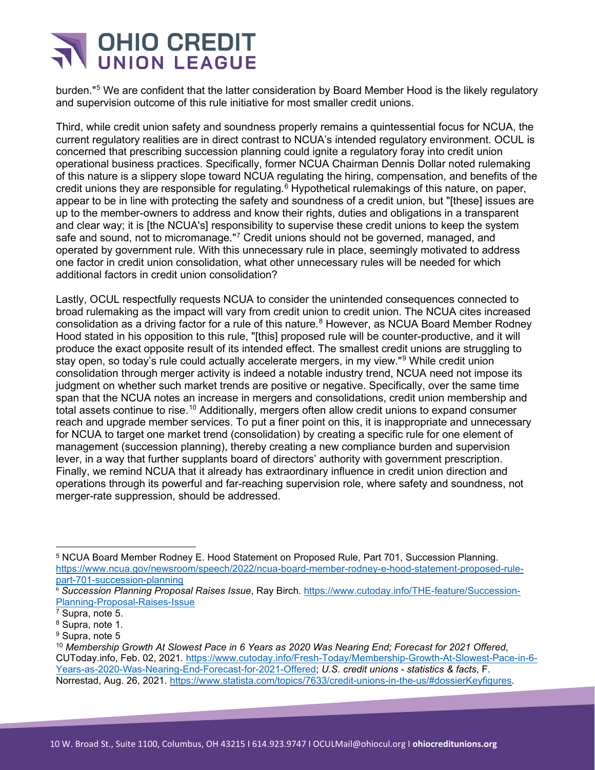

burden."[5](#page-1-0) We are confident that the latter consideration by Board Member Hood is the likely regulatory and supervision outcome of this rule initiative for most smaller credit unions.

Third, while credit union safety and soundness properly remains a quintessential focus for NCUA, the current regulatory realities are in direct contrast to NCUA's intended regulatory environment. OCUL is concerned that prescribing succession planning could ignite a regulatory foray into credit union operational business practices. Specifically, former NCUA Chairman Dennis Dollar noted rulemaking of this nature is a slippery slope toward NCUA regulating the hiring, compensation, and benefits of the credit unions they are responsible for regulating.<sup>[6](#page-1-1)</sup> Hypothetical rulemakings of this nature, on paper, appear to be in line with protecting the safety and soundness of a credit union, but "[these] issues are up to the member-owners to address and know their rights, duties and obligations in a transparent and clear way; it is [the NCUA's] responsibility to supervise these credit unions to keep the system safe and sound, not to micromanage."<sup>[7](#page-1-2)</sup> Credit unions should not be governed, managed, and operated by government rule. With this unnecessary rule in place, seemingly motivated to address one factor in credit union consolidation, what other unnecessary rules will be needed for which additional factors in credit union consolidation?

Lastly, OCUL respectfully requests NCUA to consider the unintended consequences connected to broad rulemaking as the impact will vary from credit union to credit union. The NCUA cites increased consolidation as a driving factor for a rule of this nature.<sup>[8](#page-1-3)</sup> However, as NCUA Board Member Rodney Hood stated in his opposition to this rule, "[this] proposed rule will be counter-productive, and it will produce the exact opposite result of its intended effect. The smallest credit unions are struggling to stay open, so today's rule could actually accelerate mergers, in my view."<sup>[9](#page-1-4)</sup> While credit union consolidation through merger activity is indeed a notable industry trend, NCUA need not impose its judgment on whether such market trends are positive or negative. Specifically, over the same time span that the NCUA notes an increase in mergers and consolidations, credit union membership and total assets continue to rise.<sup>[10](#page-1-5)</sup> Additionally, mergers often allow credit unions to expand consumer reach and upgrade member services. To put a finer point on this, it is inappropriate and unnecessary for NCUA to target one market trend (consolidation) by creating a specific rule for one element of management (succession planning), thereby creating a new compliance burden and supervision lever, in a way that further supplants board of directors' authority with government prescription. Finally, we remind NCUA that it already has extraordinary influence in credit union direction and operations through its powerful and far-reaching supervision role, where safety and soundness, not merger-rate suppression, should be addressed.

<span id="page-1-0"></span><sup>5</sup> NCUA Board Member Rodney E. Hood Statement on Proposed Rule, Part 701, Succession Planning. [https://www.ncua.gov/newsroom/speech/2022/ncua-board-member-rodney-e-hood-statement-proposed-rule](https://www.ncua.gov/newsroom/speech/2022/ncua-board-member-rodney-e-hood-statement-proposed-rule-part-701-succession-planning)[part-701-succession-planning](https://www.ncua.gov/newsroom/speech/2022/ncua-board-member-rodney-e-hood-statement-proposed-rule-part-701-succession-planning)

<span id="page-1-1"></span><sup>6</sup> *Succession Planning Proposal Raises Issue*, Ray Birch. [https://www.cutoday.info/THE-feature/Succession-](https://www.cutoday.info/THE-feature/Succession-Planning-Proposal-Raises-Issue)[Planning-Proposal-Raises-Issue](https://www.cutoday.info/THE-feature/Succession-Planning-Proposal-Raises-Issue)

<span id="page-1-2"></span><sup>7</sup> Supra, note 5.

<span id="page-1-3"></span><sup>8</sup> Supra, note 1.

<span id="page-1-4"></span><sup>9</sup> Supra, note 5

<span id="page-1-5"></span><sup>10</sup> *Membership Growth At Slowest Pace in 6 Years as 2020 Was Nearing End; Forecast for 2021 Offered*, CUToday.info, Feb. 02, 2021. [https://www.cutoday.info/Fresh-Today/Membership-Growth-At-Slowest-Pace-in-6-](https://www.cutoday.info/Fresh-Today/Membership-Growth-At-Slowest-Pace-in-6-Years-as-2020-Was-Nearing-End-Forecast-for-2021-Offered) [Years-as-2020-Was-Nearing-End-Forecast-for-2021-Offered;](https://www.cutoday.info/Fresh-Today/Membership-Growth-At-Slowest-Pace-in-6-Years-as-2020-Was-Nearing-End-Forecast-for-2021-Offered) *U.S. credit unions - statistics & facts*, F. Norrestad, Aug. 26, 2021. [https://www.statista.com/topics/7633/credit-unions-in-the-us/#dossierKeyfigures.](https://www.statista.com/topics/7633/credit-unions-in-the-us/#dossierKeyfigures)